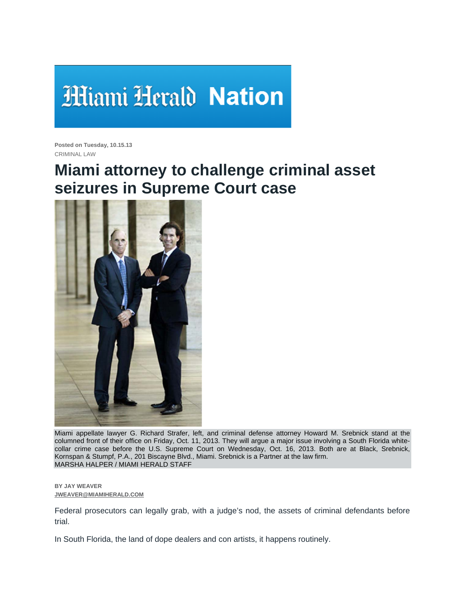## **Hiami Herald Nation**

**Posted on Tuesday, 10.15.13**  CRIMINAL LAW

## **Miami attorney to challenge criminal asset seizures in Supreme Court case**



Miami appellate lawyer G. Richard Strafer, left, and criminal defense attorney Howard M. Srebnick stand at the columned front of their office on Friday, Oct. 11, 2013. They will argue a major issue involving a South Florida whitecollar crime case before the U.S. Supreme Court on Wednesday, Oct. 16, 2013. Both are at Black, Srebnick, Kornspan & Stumpf, P.A., 201 Biscayne Blvd., Miami. Srebnick is a Partner at the law firm. MARSHA HALPER / MIAMI HERALD STAFF

## **BY JAY WEAVER JWEAVER@MIAMIHERALD.COM**

Federal prosecutors can legally grab, with a judge's nod, the assets of criminal defendants before trial.

In South Florida, the land of dope dealers and con artists, it happens routinely.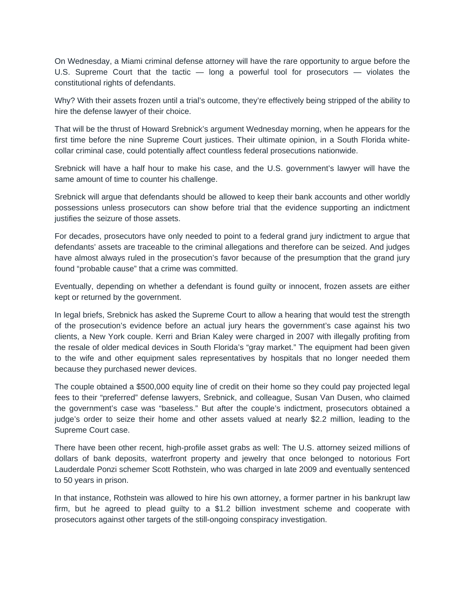On Wednesday, a Miami criminal defense attorney will have the rare opportunity to argue before the U.S. Supreme Court that the tactic — long a powerful tool for prosecutors — violates the constitutional rights of defendants.

Why? With their assets frozen until a trial's outcome, they're effectively being stripped of the ability to hire the defense lawyer of their choice.

That will be the thrust of Howard Srebnick's argument Wednesday morning, when he appears for the first time before the nine Supreme Court justices. Their ultimate opinion, in a South Florida whitecollar criminal case, could potentially affect countless federal prosecutions nationwide.

Srebnick will have a half hour to make his case, and the U.S. government's lawyer will have the same amount of time to counter his challenge.

Srebnick will argue that defendants should be allowed to keep their bank accounts and other worldly possessions unless prosecutors can show before trial that the evidence supporting an indictment justifies the seizure of those assets.

For decades, prosecutors have only needed to point to a federal grand jury indictment to argue that defendants' assets are traceable to the criminal allegations and therefore can be seized. And judges have almost always ruled in the prosecution's favor because of the presumption that the grand jury found "probable cause" that a crime was committed.

Eventually, depending on whether a defendant is found guilty or innocent, frozen assets are either kept or returned by the government.

In legal briefs, Srebnick has asked the Supreme Court to allow a hearing that would test the strength of the prosecution's evidence before an actual jury hears the government's case against his two clients, a New York couple. Kerri and Brian Kaley were charged in 2007 with illegally profiting from the resale of older medical devices in South Florida's "gray market." The equipment had been given to the wife and other equipment sales representatives by hospitals that no longer needed them because they purchased newer devices.

The couple obtained a \$500,000 equity line of credit on their home so they could pay projected legal fees to their "preferred" defense lawyers, Srebnick, and colleague, Susan Van Dusen, who claimed the government's case was "baseless." But after the couple's indictment, prosecutors obtained a judge's order to seize their home and other assets valued at nearly \$2.2 million, leading to the Supreme Court case.

There have been other recent, high-profile asset grabs as well: The U.S. attorney seized millions of dollars of bank deposits, waterfront property and jewelry that once belonged to notorious Fort Lauderdale Ponzi schemer Scott Rothstein, who was charged in late 2009 and eventually sentenced to 50 years in prison.

In that instance, Rothstein was allowed to hire his own attorney, a former partner in his bankrupt law firm, but he agreed to plead guilty to a \$1.2 billion investment scheme and cooperate with prosecutors against other targets of the still-ongoing conspiracy investigation.